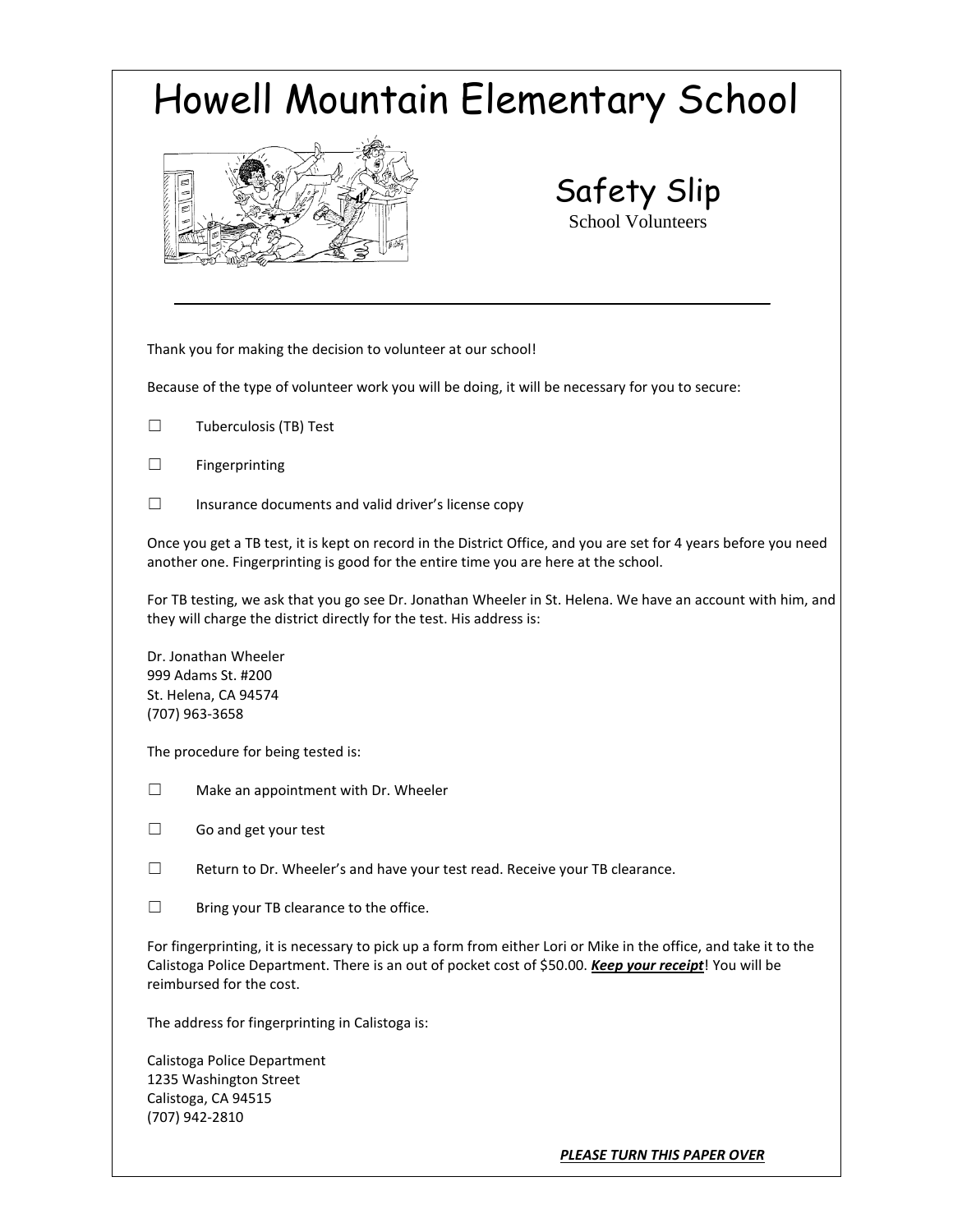| Howell Mountain Elementary School                                                                                                                                                                                                                      |                                                                                                                                                                                                         |  |
|--------------------------------------------------------------------------------------------------------------------------------------------------------------------------------------------------------------------------------------------------------|---------------------------------------------------------------------------------------------------------------------------------------------------------------------------------------------------------|--|
| <b>CONSIGNATION</b>                                                                                                                                                                                                                                    | Safety Slip<br><b>School Volunteers</b>                                                                                                                                                                 |  |
|                                                                                                                                                                                                                                                        | Thank you for making the decision to volunteer at our school!                                                                                                                                           |  |
|                                                                                                                                                                                                                                                        | Because of the type of volunteer work you will be doing, it will be necessary for you to secure:                                                                                                        |  |
| $\perp$                                                                                                                                                                                                                                                | Tuberculosis (TB) Test                                                                                                                                                                                  |  |
|                                                                                                                                                                                                                                                        | Fingerprinting                                                                                                                                                                                          |  |
|                                                                                                                                                                                                                                                        | Insurance documents and valid driver's license copy                                                                                                                                                     |  |
|                                                                                                                                                                                                                                                        | Once you get a TB test, it is kept on record in the District Office, and you are set for 4 years before you need<br>another one. Fingerprinting is good for the entire time you are here at the school. |  |
|                                                                                                                                                                                                                                                        | For TB testing, we ask that you go see Dr. Jonathan Wheeler in St. Helena. We have an account with him, and<br>they will charge the district directly for the test. His address is:                     |  |
| Dr. Jonathan Wheeler<br>999 Adams St. #200<br>St. Helena, CA 94574<br>(707) 963-3658                                                                                                                                                                   |                                                                                                                                                                                                         |  |
|                                                                                                                                                                                                                                                        | The procedure for being tested is:                                                                                                                                                                      |  |
| П                                                                                                                                                                                                                                                      | Make an appointment with Dr. Wheeler                                                                                                                                                                    |  |
|                                                                                                                                                                                                                                                        | Go and get your test                                                                                                                                                                                    |  |
| $\mathsf{L}$                                                                                                                                                                                                                                           | Return to Dr. Wheeler's and have your test read. Receive your TB clearance.                                                                                                                             |  |
| □                                                                                                                                                                                                                                                      | Bring your TB clearance to the office.                                                                                                                                                                  |  |
| For fingerprinting, it is necessary to pick up a form from either Lori or Mike in the office, and take it to the<br>Calistoga Police Department. There is an out of pocket cost of \$50.00. Keep your receipt! You will be<br>reimbursed for the cost. |                                                                                                                                                                                                         |  |
|                                                                                                                                                                                                                                                        | The address for fingerprinting in Calistoga is:                                                                                                                                                         |  |
|                                                                                                                                                                                                                                                        | Calistoga Police Department<br>1235 Washington Street                                                                                                                                                   |  |

Calistoga, CA 94515 (707) 942-2810

*PLEASE TURN THIS PAPER OVER*